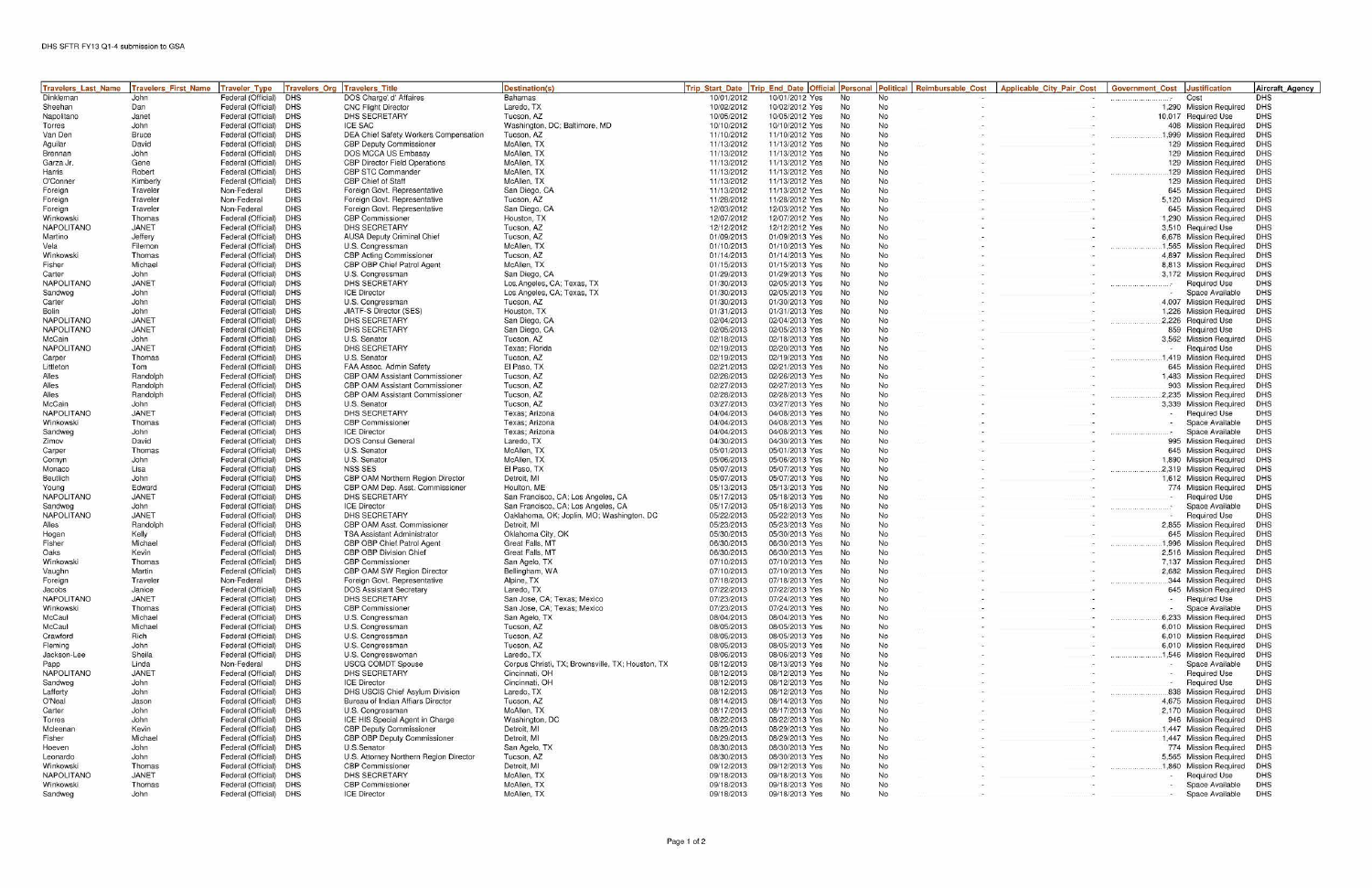| <b>Travelers Last Name</b> | <b>Travelers First Name</b> | <b>Traveler Type</b>                             | <b>Travelers Org</b>     | <b>Travelers Title</b>                                                  | <b>Destination(s)</b>                                    | <b>Trip Start Date</b>   | <b>Trip End Date Official</b>    | Personal  |                 | Political Reimbursable Cost | <b>Applicable City Pair Cost</b> | <b>Government Cost</b> | <b>Justification</b>                             | <b>Aircraft Agency</b> |
|----------------------------|-----------------------------|--------------------------------------------------|--------------------------|-------------------------------------------------------------------------|----------------------------------------------------------|--------------------------|----------------------------------|-----------|-----------------|-----------------------------|----------------------------------|------------------------|--------------------------------------------------|------------------------|
| <b>Dinkleman</b>           | John                        | Federal (Official)                               | <b>DHS</b>               | DOS Charge' d' Affaires                                                 | <b>Bahamas</b>                                           | 10/01/2012               | 10/01/2012 Yes                   | <b>No</b> | <b>No</b>       |                             |                                  |                        | Cost                                             | DHS                    |
| Sheehan                    | Dan                         | Federal (Official) DHS                           |                          | <b>CNC Flight Director</b>                                              | Laredo, TX                                               | 10/02/2012               | 10/02/2012 Yes                   | <b>No</b> | No              |                             |                                  |                        | 1,290 Mission Required                           | <b>DHS</b>             |
| Napolitano                 | Janet                       | Federal (Official)                               | <b>DHS</b>               | DHS SECRETARY                                                           | Tucson, AZ                                               | 10/05/2012               | 10/05/2012 Yes                   | No        | No              |                             |                                  |                        | 10.017 Required Use                              | <b>DHS</b>             |
| Torres<br>Van Den          | John<br><b>Bruce</b>        | Federal (Official)<br>Federal (Official)         | <b>DHS</b><br><b>DHS</b> | <b>ICE SAC</b><br>DEA Chief Safety Workers Compensation                 | Washington, DC; Baltimore, MD<br>Tucson, AZ              | 10/10/2012<br>11/10/2012 | 10/10/2012 Yes<br>11/10/2012 Yes | No.<br>No | No<br>No        |                             |                                  |                        | 408 Mission Required<br>1.999 Mission Required   | DHS<br>DHS             |
| Aguilar                    | David                       | Federal (Official)                               | DHS                      | <b>CBP Deputy Commissioner</b>                                          | McAllen, TX                                              | 11/13/2012               | 11/13/2012 Yes                   | No        | No              |                             |                                  |                        | 129 Mission Required                             | DHS                    |
| Brennan                    | John                        | Federal (Official)                               | <b>DHS</b>               | DOS MCCA US Embassy                                                     | McAllen, TX                                              | 11/13/2012               | 11/13/2012 Yes                   | <b>No</b> | <b>No</b>       |                             |                                  |                        | 129 Mission Required                             | DHS                    |
| Garza Jr.                  | Gene                        | Federal (Official)                               | DHS                      | <b>CBP Director Field Operations</b>                                    | McAllen, TX                                              | 11/13/2012               | 11/13/2012 Yes                   | No        | No              |                             |                                  |                        | 129 Mission Required                             | DHS                    |
| Harris                     | Robert                      | Federal (Official)                               | DHS                      | <b>CBP STC Commander</b>                                                | McAllen, TX                                              | 11/13/2012               | 11/13/2012 Yes                   | No        | No              |                             |                                  |                        | 129 Mission Required                             | DHS                    |
| O'Conner                   | Kimberly                    | Federal (Official)                               | DHS                      | <b>CBP Chief of Staff</b>                                               | McAllen, TX                                              | 11/13/2012               | 11/13/2012 Yes                   | No        | No              |                             |                                  |                        | 129 Mission Required                             | DHS                    |
| Foreign                    | Traveler                    | Non-Federal                                      | <b>DHS</b>               | Foreign Govt. Representative                                            | San Diego, CA                                            | 11/13/2012               | 11/13/2012 Yes                   | No        | No.             |                             |                                  |                        | 645 Mission Required                             | <b>DHS</b>             |
| Foreign                    | Traveler                    | Non-Federal                                      | DHS                      | Foreign Govt. Representative                                            | Tucson, AZ                                               | 11/28/2012               | 11/28/2012 Yes                   | No.       | No              |                             |                                  |                        | 5,120 Mission Required                           | DHS                    |
| Foreign<br>Winkowski       | Traveler<br>Thomas          | Non-Federal<br>Federal (Official)                | DHS<br><b>DHS</b>        | Foreign Govt. Representative<br><b>CBP Commissioner</b>                 | San Diego, CA<br>Houston, TX                             | 12/03/2012<br>12/07/2012 | 12/03/2012 Yes<br>12/07/2012 Yes | No<br>No  | <b>No</b><br>No |                             |                                  |                        | 645 Mission Required<br>1,290 Mission Required   | DHS<br>DHS             |
| NAPOLITANO                 | <b>JANET</b>                | Federal (Official)                               | <b>DHS</b>               | DHS SECRETARY                                                           | Tucson, AZ                                               | 12/12/2012               | 12/12/2012 Yes                   | No.       | No              |                             |                                  |                        | 3,510 Required Use                               | DHS                    |
| Martino                    | Jeffery                     | Federal (Official)                               | DHS                      | <b>AUSA Deputy Criminal Chief</b>                                       | Tucson, AZ                                               | 01/09/2013               | 01/09/2013 Yes                   | No        | No              |                             |                                  |                        | 6,678 Mission Required                           | DHS                    |
| Vela                       | Filemon                     | Federal (Official)                               | <b>DHS</b>               | U.S. Congressman                                                        | McAllen, TX                                              | 01/10/2013               | 01/10/2013 Yes                   | No        | No              |                             |                                  |                        | 1,565 Mission Required                           | DHS                    |
| Winkowski                  | Thomas                      | Federal (Official)                               | <b>DHS</b>               | <b>CBP Acting Commissioner</b>                                          | Tucson, AZ                                               | 01/14/2013               | 01/14/2013 Yes                   | <b>No</b> | No              |                             |                                  |                        | 4,897 Mission Required                           | DHS                    |
| Fisher                     | Michael                     | Federal (Official)                               | <b>DHS</b>               | CBP OBP Chief Patrol Agent                                              | McAllen, TX                                              | 01/15/2013               | 01/15/2013 Yes                   | No        | No              |                             |                                  |                        | 8,813 Mission Required                           | DHS                    |
| Carter                     | John                        | Federal (Official)                               | <b>DHS</b>               | U.S. Congressman                                                        | San Diego, CA                                            | 01/29/2013               | 01/29/2013 Yes                   | No        | No.             |                             |                                  |                        | 3.172 Mission Required                           | DHS                    |
| NAPOLITANO                 | <b>JANET</b><br>John        | Federal (Official)<br>Federal (Official)         | DHS<br>DHS               | <b>DHS SECRETARY</b><br><b>ICE</b> Director                             | Los Angeles, CA; Texas, TX<br>Los Angeles, CA; Texas, TX | 01/30/2013<br>01/30/2013 | 02/05/2013 Yes<br>02/05/2013 Yes | No<br>No  | No<br>No        |                             |                                  |                        | <b>Required Use</b><br>Space Available           | DHS<br><b>DHS</b>      |
| Sandweg<br>Carter          | John                        | Federal (Official)                               | <b>DHS</b>               | U.S. Congressman                                                        | Tucson, AZ                                               | 01/30/2013               | 01/30/2013 Yes                   | No        | <b>No</b>       |                             |                                  |                        | 4,007 Mission Required                           | DHS                    |
| Bolin                      | John                        | Federal (Official)                               | <b>DHS</b>               | JIATF-S Director (SES)                                                  | Houston, TX                                              | 01/31/2013               | 01/31/2013 Yes                   | No        | <b>No</b>       |                             |                                  |                        | 1,226 Mission Required                           | DHS                    |
| NAPOLITANO                 | <b>JANET</b>                | Federal (Official)                               | DHS                      | <b>DHS SECRETARY</b>                                                    | San Diego, CA                                            | 02/04/2013               | 02/04/2013 Yes                   | No        | <b>No</b>       |                             |                                  |                        | 2,226 Required Use                               | DHS                    |
| NAPOLITANO                 | <b>JANET</b>                | Federal (Official)                               | DHS                      | DHS SECRETARY                                                           | San Diego, CA                                            | 02/05/2013               | 02/05/2013 Yes                   | <b>No</b> | No              |                             |                                  |                        | 859 Required Use                                 | <b>DHS</b>             |
| McCain                     | John                        | Federal (Official)                               | DHS                      | U.S. Senator                                                            | Tucson, AZ                                               | 02/18/2013               | 02/18/2013 Yes                   | No        | No              |                             |                                  |                        | 3.562 Mission Required                           | DHS                    |
| NAPOLITANO                 | <b>JANET</b>                | Federal (Official)                               | <b>DHS</b>               | <b>DHS SECRETARY</b>                                                    | Texas: Florida                                           | 02/19/2013               | 02/20/2013 Yes                   | No        | No              |                             |                                  |                        | <b>Required Use</b>                              | DHS                    |
| Carper                     | Thomas                      | Federal (Official)                               | <b>DHS</b>               | U.S. Senator                                                            | Tucson, AZ                                               | 02/19/2013               | 02/19/2013 Yes                   | <b>No</b> | No              |                             |                                  |                        | 1.419 Mission Required                           | DHS                    |
| Littleton                  | Tom                         | Federal (Official)                               | DHS                      | FAA Assoc. Admin Safety                                                 | El Paso, TX                                              | 02/21/2013               | 02/21/2013 Yes                   | No        | <b>No</b>       |                             |                                  |                        | 645 Mission Required                             | DHS                    |
| Alles<br>Alles             | Randolph<br>Randolph        | Federal (Official)<br>Federal (Official)         | <b>DHS</b><br><b>DHS</b> | CBP OAM Assistant Commissioner<br><b>CBP OAM Assistant Commissioner</b> | Tucson, AZ<br>Tucson, AZ                                 | 02/26/2013<br>02/27/2013 | 02/26/2013 Yes<br>02/27/2013 Yes | No<br>No: | No<br><b>No</b> |                             |                                  |                        | 1,483 Mission Required<br>903 Mission Required   | DHS<br><b>DHS</b>      |
| Alles                      | Randolph                    | Federal (Official)                               | <b>DHS</b>               | <b>CBP OAM Assistant Commissioner</b>                                   | Tucson, AZ                                               | 02/28/2013               | 02/28/2013 Yes                   | No        | No              |                             |                                  |                        | 2.235 Mission Required                           | DHS                    |
| McCain                     | John                        | Federal (Official)                               | <b>DHS</b>               | U.S. Senator                                                            | Tucson, AZ                                               | 03/27/2013               | 03/27/2013 Yes                   | No        | No              |                             |                                  |                        | 3.339 Mission Required                           | DHS                    |
| NAPOLITANO                 | <b>JANET</b>                | Federal (Official)                               | <b>DHS</b>               | <b>DHS SECRETARY</b>                                                    | Texas; Arizona                                           | 04/04/2013               | 04/08/2013 Yes                   | No        | No              |                             |                                  |                        | <b>Required Use</b>                              | <b>DHS</b>             |
| Winkowski                  | Thomas                      | Federal (Official)                               | <b>DHS</b>               | <b>CBP Commissioner</b>                                                 | Texas: Arizona                                           | 04/04/2013               | 04/08/2013 Yes                   | No.       | <b>No</b>       |                             |                                  |                        | Space Available                                  | DHS                    |
| Sandweg                    | John                        | Federal (Official)                               | <b>DHS</b>               | <b>ICE Director</b>                                                     | Texas; Arizona                                           | 04/04/2013               | 04/08/2013 Yes                   | No        | No              |                             |                                  |                        | Space. Available                                 | DHS                    |
| Zimov                      | David                       | Federal (Official)                               | DHS                      | <b>DOS Consul General</b>                                               | Laredo, TX                                               | 04/30/2013               | 04/30/2013 Yes                   | No        | No              |                             |                                  |                        | 995 Mission Required                             | DHS                    |
| Carper                     | Thomas                      | Federal (Official)                               | <b>DHS</b><br><b>DHS</b> | U.S. Senator                                                            | McAllen, TX                                              | 05/01/2013               | 05/01/2013 Yes                   | No        | <b>No</b><br>No |                             |                                  |                        | 645 Mission Required                             | DHS<br>DHS             |
| Cornyn<br>Monaco           | John<br>Lisa                | Federal (Official)<br>Federal (Official)         | DHS                      | U.S. Senator<br><b>NSS SES</b>                                          | McAllen, TX<br>El Paso, TX                               | 05/06/2013<br>05/07/2013 | 05/06/2013 Yes<br>05/07/2013 Yes | No<br>No  | No              |                             |                                  |                        | 1,890 Mission Required<br>2,319 Mission Required | DHS                    |
| Beutlich                   | John                        | Federal (Official)                               | <b>DHS</b>               | CBP OAM Northern Region Director                                        | Detroit, MI                                              | 05/07/2013               | 05/07/2013 Yes                   | No        | <b>No</b>       |                             |                                  |                        | 1,612 Mission Required                           | DHS                    |
| Young                      | Edward                      | Federal (Official)                               | DHS                      | CBP OAM Dep. Asst. Commissioner                                         | Houlton, ME                                              | 05/13/2013               | 05/13/2013 Yes                   | No        | No.             |                             |                                  |                        | 774 Mission Required                             | <b>DHS</b>             |
| NAPOLITANO                 | JANET                       | Federal (Official)                               | DHS                      | DHS SECRETARY                                                           | San Francisco, CA; Los Angeles, CA                       | 05/17/2013               | 05/18/2013 Yes                   | <b>No</b> | <b>No</b>       |                             |                                  |                        | <b>Required Use</b>                              | DHS                    |
| Sandweg                    | John                        | Federal (Official)                               | DHS                      | <b>ICE Director</b>                                                     | San Francisco, CA; Los Angeles, CA                       | 05/17/2013               | 05/18/2013 Yes                   | <b>No</b> | No              |                             |                                  |                        | Space Available                                  | DHS                    |
| NAPOLITANO                 | <b>JANET</b>                | Federal (Official)                               | <b>DHS</b>               | <b>DHS SECRETARY</b>                                                    | Oaklahoma, OK; Joplin, MO; Washington. DC                | 05/22/2013               | 05/22/2013 Yes                   | No        | No              |                             |                                  |                        | <b>Required Use</b>                              | DHS                    |
| Alles                      | Randolph                    | Federal (Official)                               | <b>DHS</b><br>DHS        | CBP OAM Asst. Commissioner                                              | Detroit, MI                                              | 05/23/2013               | 05/23/2013 Yes                   | No        | No<br><b>No</b> |                             |                                  |                        | 2,855 Mission Required                           | DHS<br>DHS             |
| Hogan<br>Fisher            | Kelly<br>Michael            | Federal (Official)<br>Federal (Official)         | DHS                      | <b>TSA Assistant Administrator</b><br>CBP OBP Chief Patrol Agent        | Oklahoma City, OK<br>Great Falls, MT                     | 05/30/2013<br>06/30/2013 | 05/30/2013 Yes<br>06/30/2013 Yes | No<br>No  | No              |                             |                                  |                        | 645 Mission Required<br>.1.996 Mission Required  | DHS                    |
| Oaks                       | Kevin                       | Federal (Official)                               | <b>DHS</b>               | <b>CBP OBP Division Chief</b>                                           | Great Falls, MT                                          | 06/30/2013               | 06/30/2013 Yes                   | No.       | No              |                             |                                  |                        | 2,516 Mission Required                           | DHS                    |
| Winkowski                  | Thomas                      | Federal (Official)                               | <b>DHS</b>               | <b>CBP Commissioner</b>                                                 | San Agelo, TX                                            | 07/10/2013               | 07/10/2013 Yes                   | No.       | No              |                             |                                  |                        | 7,137 Mission Required                           | <b>DHS</b>             |
| Vaughn                     | Martin                      | Federal (Official)                               | <b>DHS</b>               | CBP OAM SW Region Director                                              | Bellingham, WA                                           | 07/10/2013               | 07/10/2013 Yes                   | <b>No</b> | No.             |                             |                                  |                        | 2,682 Mission Required                           | DHS                    |
| Foreign                    | Traveler                    | Non-Federal                                      | DHS                      | Foreign Govt. Representative                                            | Alpine, TX                                               | 07/18/2013               | 07/18/2013 Yes                   | No        | No              |                             |                                  |                        | .344 Mission Required                            | DHS                    |
| Jacobs                     | Janice                      | Federal (Official) DHS                           |                          | <b>DOS Assistant Secretary</b>                                          | Laredo, TX                                               | 07/22/2013               | 07/22/2013 Yes                   | No        | No              |                             |                                  |                        | 645 Mission Required                             | DHS                    |
| NAPOLITANO                 | <b>JANET</b>                | Federal (Official) DHS                           |                          | <b>DHS SECRETARY</b>                                                    | San Jose, CA: Texas: Mexico                              | 07/23/2013               | 07/24/2013 Yes<br>07/24/2013 Yes | <b>No</b> | No              |                             |                                  |                        | <b>Required Use</b>                              | <b>DHS</b><br>DHS      |
| Winkowski<br>McCaul        | Thomas<br>Michael           | Federal (Official) DHS<br>Federal (Official) DHS |                          | <b>CBP</b> Commissioner<br>U.S. Congressman                             | San Jose, CA; Texas; Mexico<br>San Agelo, TX             | 07/23/2013<br>08/04/2013 | 08/04/2013 Yes                   | No<br>No  | No<br>No        |                             |                                  |                        | Space Available<br>.6,233 Mission Required       | DHS                    |
| McCaul                     | Michael                     | Federal (Official) DHS                           |                          | U.S. Congressman                                                        | Tucson, AZ                                               | 08/05/2013               | 08/05/2013 Yes                   | No.       | No.             |                             |                                  |                        | 6,010 Mission Required                           | DHS                    |
| Crawford                   | Rich                        | Federal (Official) DHS                           |                          | U.S. Congressman                                                        | Tucson, AZ                                               | 08/05/2013               | 08/05/2013 Yes                   | No        | No              |                             |                                  |                        | 6.010 Mission Required                           | DHS                    |
| Fleming                    | John                        | Federal (Official) DHS                           |                          | U.S. Congressman                                                        | Tucson, AZ                                               | 08/05/2013               | 08/05/2013 Yes                   | <b>No</b> | No              |                             |                                  |                        | 6,010 Mission Required                           | DHS                    |
| Jackson-Lee                | Sheila                      | Federal (Official)                               | <b>DHS</b>               | U.S. Congresswoman                                                      | Laredo, TX                                               | 08/06/2013               | 08/06/2013 Yes                   | No        | No              |                             |                                  |                        | 1,546 Mission Required                           | DHS                    |
| Papp                       | Linda                       | Non-Federal                                      | DHS                      | <b>USCG COMDT Spouse</b>                                                | Corpus Christi, TX; Brownsville, TX; Houston, TX         | 08/12/2013               | 08/13/2013 Yes                   | No        | No              |                             |                                  |                        | Space Available                                  | DHS                    |
| NAPOLITANO                 | <b>JANET</b>                | Federal (Official)                               | <b>DHS</b>               | DHS SECRETARY                                                           | Cincinnati, OH                                           | 08/12/2013               | 08/12/2013 Yes                   | No        | <b>No</b>       |                             |                                  | $-1$                   | <b>Required Use</b>                              | DHS                    |
| Sandweg                    | John                        | Federal (Official)                               | DHS                      | <b>ICE Director</b>                                                     | Cincinnati, OH                                           | 08/12/2013               | 08/12/2013 Yes                   | No:       | No              |                             |                                  |                        | <b>Required Use</b>                              | DHS                    |
| Lafferty<br>O'Neal         | John<br>Jason               | Federal (Official) DHS<br>Federal (Official) DHS |                          | DHS USCIS Chief Asylum Division<br>Bureau of Indian Affiars Director    | Laredo, TX<br>Tucson, AZ                                 | 08/12/2013<br>08/14/2013 | 08/12/2013 Yes<br>08/14/2013 Yes | No<br>No  | No<br>No        |                             |                                  |                        | 838 Mission Required<br>4,675 Mission Required   | DHS<br>DHS             |
| Carter                     | John                        | Federal (Official) DHS                           |                          | U.S. Congressman                                                        | McAllen, TX                                              | 08/17/2013               | 08/17/2013 Yes                   | No        | No              |                             |                                  |                        | 2,170 Mission Required                           | DHS                    |
| Torres                     | John                        | Federal (Official) DHS                           |                          | ICE HIS Special Agent in Charge                                         | Washington, DC                                           | 08/22/2013               | 08/22/2013 Yes                   | No.       | No              |                             |                                  |                        | 946 Mission Required                             | DHS                    |
| Mcleenan                   | Kevin                       | Federal (Official)                               | <b>DHS</b>               | <b>CBP Deputy Commissioner</b>                                          | Detroit, MI                                              | 08/29/2013               | 08/29/2013 Yes                   | No        | No.             |                             |                                  |                        | 1,447 Mission Required                           | DHS                    |
| Fisher                     | Michael                     | Federal (Official) DHS                           |                          | CBP OBP Deputy Commissioner                                             | Detroit, MI                                              | 08/29/2013               | 08/29/2013 Yes                   | No        | No              |                             |                                  |                        | 1.447 Mission Required                           | DHS                    |
| Hoeven                     | John                        | Federal (Official)                               | <b>DHS</b>               | U.S.Senator                                                             | San Agelo, TX                                            | 08/30/2013               | 08/30/2013 Yes                   | <b>No</b> | No              |                             |                                  |                        | 774 Mission Required                             | DHS                    |
| Leonardo                   | John                        | Federal (Official) DHS                           |                          | U.S. Attorney Northern Region Director                                  | Tucson, AZ                                               | 08/30/2013               | 08/30/2013 Yes                   | No        | No              |                             |                                  |                        | 5,565 Mission Required                           | DHS                    |
| Winkowski<br>NAPOLITANO    | Thomas<br>JANET             | Federal (Official) DHS<br>Federal (Official) DHS |                          | <b>CBP Commissioner</b><br><b>DHS SECRETARY</b>                         | Detroit, MI<br>McAllen, TX                               | 09/12/2013<br>09/18/2013 | 09/12/2013 Yes<br>09/18/2013 Yes | No<br>No  | No<br>No        |                             |                                  |                        | 1,860 Mission Required<br><b>Required Use</b>    | DHS<br><b>DHS</b>      |
| Winkowski                  | Thomas                      | Federal (Official) DHS                           |                          | <b>CBP</b> Commissioner                                                 | McAllen, TX                                              | 09/18/2013               | 09/18/2013 Yes                   | No        | No              |                             |                                  |                        | Space Available                                  | DHS                    |
| Sandweg                    | John                        | Federal (Official) DHS                           |                          | <b>ICE Director</b>                                                     | McAllen, TX                                              | 09/18/2013               | 09/18/2013 Yes                   | No.       | No              |                             |                                  |                        | Space Available                                  | DHS                    |
|                            |                             |                                                  |                          |                                                                         |                                                          |                          |                                  |           |                 |                             |                                  |                        |                                                  |                        |